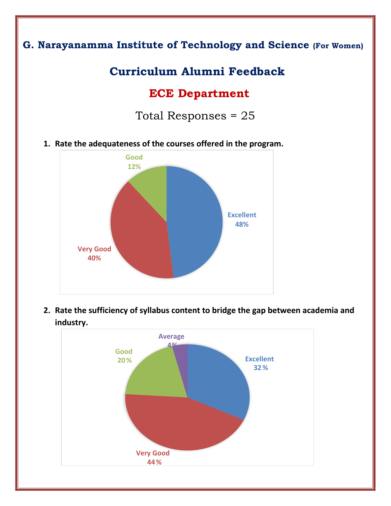## **G. Narayanamma Institute of Technology and Science (For Women)**

# **Curriculum Alumni Feedback**

# **ECE Department**

Total Responses = 25

**1. Rate the adequateness of the courses offered in the program.** 



**2. Rate the sufficiency of syllabus content to bridge the gap between academia and industry.** 

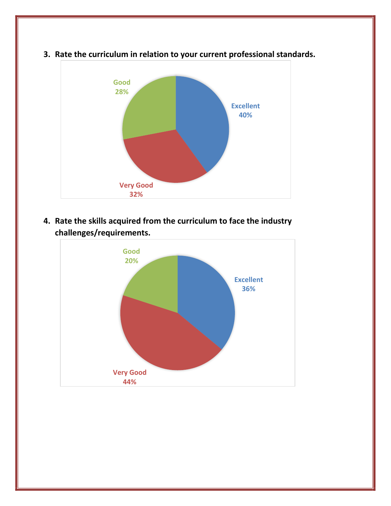

**3. Rate the curriculum in relation to your current professional standards.** 

**4. Rate the skills acquired from the curriculum to face the industry challenges/requirements.** 

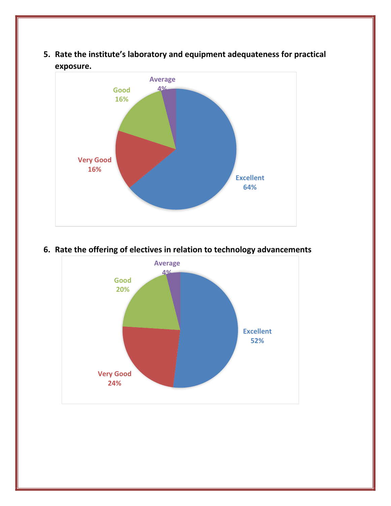**5. Rate the institute's laboratory and equipment adequateness for practical exposure.** 



#### **6. Rate the offering of electives in relation to technology advancements**

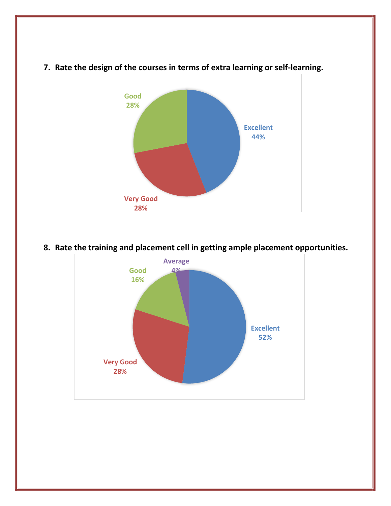

### **7. Rate the design of the courses in terms of extra learning or self-learning.**

### **8. Rate the training and placement cell in getting ample placement opportunities.**

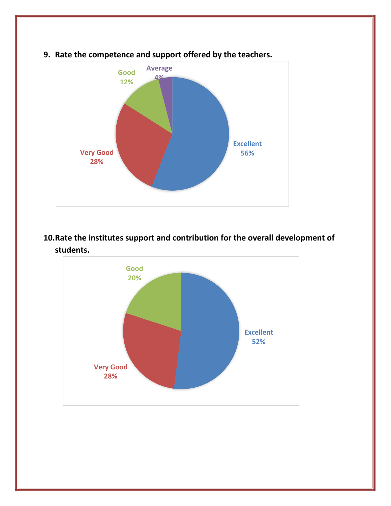![](_page_4_Figure_0.jpeg)

### **9. Rate the competence and support offered by the teachers.**

### **10.Rate the institutes support and contribution for the overall development of students.**

![](_page_4_Figure_3.jpeg)